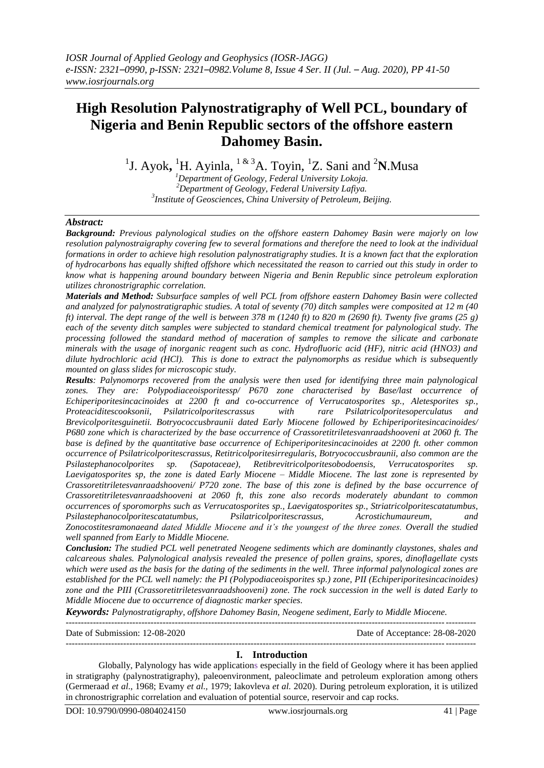# **High Resolution Palynostratigraphy of Well PCL, boundary of Nigeria and Benin Republic sectors of the offshore eastern Dahomey Basin.**

<sup>1</sup>J. Ayok, <sup>1</sup>H. Ayinla, <sup>1 & 3</sup>A. Toyin, <sup>1</sup>Z. Sani and <sup>2</sup>N. Musa

*<sup>1</sup>Department of Geology, Federal University Lokoja. <sup>2</sup>Department of Geology, Federal University Lafiya. 3 Institute of Geosciences, China University of Petroleum, Beijing.*

### *Abstract:*

*Background: Previous palynological studies on the offshore eastern Dahomey Basin were majorly on low resolution palynostraigraphy covering few to several formations and therefore the need to look at the individual formations in order to achieve high resolution palynostratigraphy studies. It is a known fact that the exploration of hydrocarbons has equally shifted offshore which necessitated the reason to carried out this study in order to know what is happening around boundary between Nigeria and Benin Republic since petroleum exploration utilizes chronostrigraphic correlation.*

*Materials and Method: Subsurface samples of well PCL from offshore eastern Dahomey Basin were collected and analyzed for palynostratigraphic studies. A total of seventy (70) ditch samples were composited at 12 m (40 ft) interval. The dept range of the well is between 378 m (1240 ft) to 820 m (2690 ft). Twenty five grams (25 g) each of the seventy ditch samples were subjected to standard chemical treatment for palynological study. The processing followed the standard method of maceration of samples to remove the silicate and carbonate minerals with the usage of inorganic reagent such as conc. Hydrofluoric acid (HF), nitric acid (HNO3) and dilute hydrochloric acid (HCl). This is done to extract the palynomorphs as residue which is subsequently mounted on glass slides for microscopic study.*

*Results: Palynomorps recovered from the analysis were then used for identifying three main palynological zones. They are: Polypodiaceoisporitessp/ P670 zone characterised by Base/last occurrence of Echiperiporitesincacinoides at 2200 ft and co-occurrence of Verrucatosporites sp., Aletesporites sp., Proteaciditescooksonii, Psilatricolporitescrassus with rare Psilatricolporitesoperculatus and Brevicolporitesguinetii. Botryococcusbraunii dated Early Miocene followed by Echiperiporitesincacinoides/ P680 zone which is characterized by the base occurrence of Crassoretitriletesvanraadshooveni at 2060 ft. The base is defined by the quantitative base occurrence of Echiperiporitesincacinoides at 2200 ft. other common occurrence of Psilatricolporitescrassus, Retitricolporitesirregularis, Botryococcusbraunii, also common are the Psilastephanocolporites sp. (Sapotaceae), Retibrevitricolporitesobodoensis, Verrucatosporites sp. Laevigatosporites sp, the zone is dated Early Miocene – Middle Miocene. The last zone is represented by Crassoretitriletesvanraadshooveni/ P720 zone. The base of this zone is defined by the base occurrence of Crassoretitriletesvanraadshooveni at 2060 ft, this zone also records moderately abundant to common occurrences of sporomorphs such as Verrucatosporites sp., Laevigatosporites sp., Striatricolporitescatatumbus, Psilastephanocolporitescatatumbus, Psilatricolporitescrassus, Acrostichumaureum, and Zonocostitesramonaeand dated Middle Miocene and it's the youngest of the three zones. Overall the studied well spanned from Early to Middle Miocene.*

*Conclusion: The studied PCL well penetrated Neogene sediments which are dominantly claystones, shales and calcareous shales. Palynological analysis revealed the presence of pollen grains, spores, dinoflagellate cysts which were used as the basis for the dating of the sediments in the well. Three informal palynological zones are established for the PCL well namely: the PI (Polypodiaceoisporites sp.) zone, PII (Echiperiporitesincacinoides) zone and the PIII (Crassoretitriletesvanraadshooveni) zone. The rock succession in the well is dated Early to Middle Miocene due to occurrence of diagnostic marker species.*

*Keywords: Palynostratigraphy, offshore Dahomey Basin, Neogene sediment, Early to Middle Miocene.*

---------------------------------------------------------------------------------------------------------------------------------------

Date of Submission: 12-08-2020 Date of Acceptance: 28-08-2020

---------------------------------------------------------------------------------------------------------------------------------------

### **I. Introduction**

Globally, Palynology has wide applications especially in the field of Geology where it has been applied in stratigraphy (palynostratigraphy), paleoenvironment, paleoclimate and petroleum exploration among others (Germeraad *et al*., 1968; Evamy *et al.,* 1979; Iakovleva *et al.* 2020). During petroleum exploration, it is utilized in chronostrigraphic correlation and evaluation of potential source, reservoir and cap rocks.

DOI: 10.9790/0990-0804024150 www.iosrjournals.org 41 | Page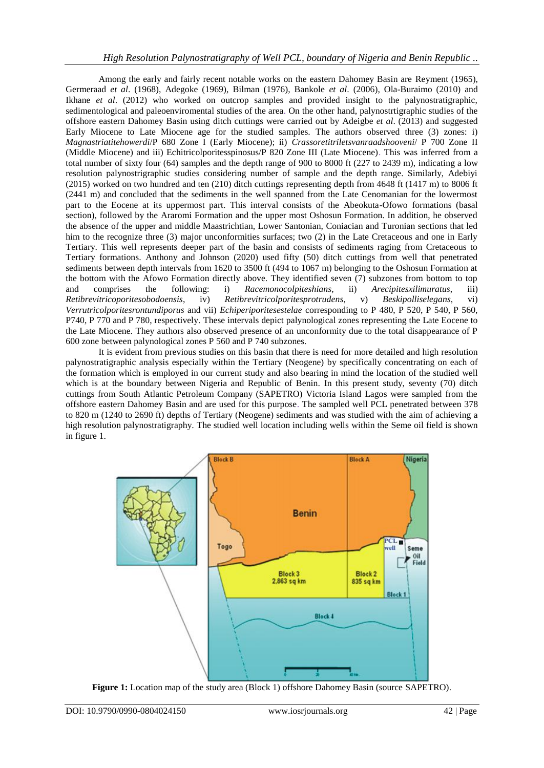Among the early and fairly recent notable works on the eastern Dahomey Basin are Reyment (1965), Germeraad *et al*. (1968), Adegoke (1969), Bilman (1976), Bankole *et al*. (2006), Ola-Buraimo (2010) and Ikhane *et al*. (2012) who worked on outcrop samples and provided insight to the palynostratigraphic, sedimentological and paleoenviromental studies of the area. On the other hand, palynostrtigraphic studies of the offshore eastern Dahomey Basin using ditch cuttings were carried out by Adeigbe *et al*. (2013) and suggested Early Miocene to Late Miocene age for the studied samples. The authors observed three (3) zones: i) *Magnastriatitehowerdi*/P 680 Zone I (Early Miocene); ii) *Crassoretitriletsvanraadshooveni*/ P 700 Zone II (Middle Miocene) and iii) Echitricolporitesspinosus/P 820 Zone III (Late Miocene). This was inferred from a total number of sixty four (64) samples and the depth range of 900 to 8000 ft (227 to 2439 m), indicating a low resolution palynostrigraphic studies considering number of sample and the depth range. Similarly, Adebiyi (2015) worked on two hundred and ten (210) ditch cuttings representing depth from 4648 ft (1417 m) to 8006 ft (2441 m) and concluded that the sediments in the well spanned from the Late Cenomanian for the lowermost part to the Eocene at its uppermost part. This interval consists of the Abeokuta-Ofowo formations (basal section), followed by the Araromi Formation and the upper most Oshosun Formation. In addition, he observed the absence of the upper and middle Maastrichtian, Lower Santonian, Coniacian and Turonian sections that led him to the recognize three (3) major unconformities surfaces; two (2) in the Late Cretaceous and one in Early Tertiary. This well represents deeper part of the basin and consists of sediments raging from Cretaceous to Tertiary formations. Anthony and Johnson (2020) used fifty (50) ditch cuttings from well that penetrated sediments between depth intervals from 1620 to 3500 ft (494 to 1067 m) belonging to the Oshosun Formation at the bottom with the Afowo Formation directly above. They identified seven (7) subzones from bottom to top and comprises the following: i) *Racemonocolpiteshians*, ii) *Arecipitesxilimuratus*, iii) *Retibrevitricoporitesobodoensis*, iv) *Retibrevitricolporitesprotrudens*, v) *Beskipolliselegans*, vi) *Verrutricolporitesrontundiporus* and vii) *Echiperiporitesestelae* corresponding to P 480, P 520, P 540, P 560, P740, P 770 and P 780, respectively. These intervals depict palynological zones representing the Late Eocene to the Late Miocene. They authors also observed presence of an unconformity due to the total disappearance of P 600 zone between palynological zones P 560 and P 740 subzones.

It is evident from previous studies on this basin that there is need for more detailed and high resolution palynostratigraphic analysis especially within the Tertiary (Neogene) by specifically concentrating on each of the formation which is employed in our current study and also bearing in mind the location of the studied well which is at the boundary between Nigeria and Republic of Benin. In this present study, seventy (70) ditch cuttings from South Atlantic Petroleum Company (SAPETRO) Victoria Island Lagos were sampled from the offshore eastern Dahomey Basin and are used for this purpose. The sampled well PCL penetrated between 378 to 820 m (1240 to 2690 ft) depths of Tertiary (Neogene) sediments and was studied with the aim of achieving a high resolution palynostratigraphy. The studied well location including wells within the Seme oil field is shown in figure 1.



**Figure 1:** Location map of the study area (Block 1) offshore Dahomey Basin (source SAPETRO).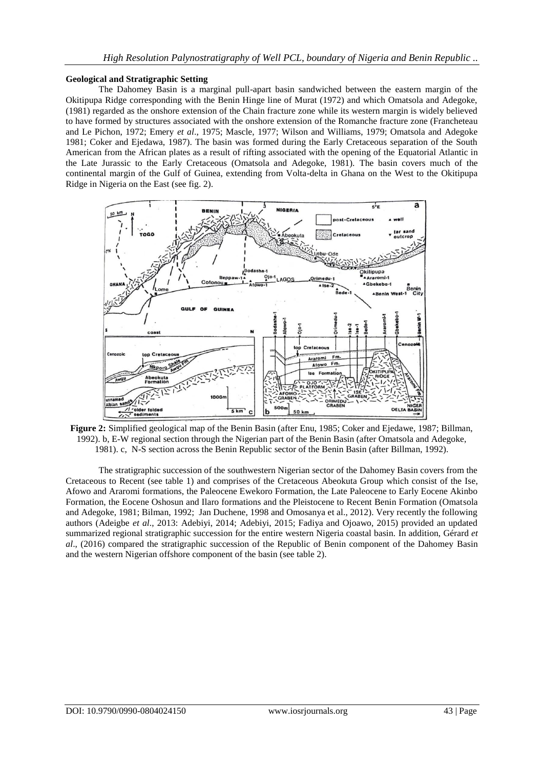### **Geological and Stratigraphic Setting**

The Dahomey Basin is a marginal pull-apart basin sandwiched between the eastern margin of the Okitipupa Ridge corresponding with the Benin Hinge line of Murat (1972) and which Omatsola and Adegoke, (1981) regarded as the onshore extension of the Chain fracture zone while its western margin is widely believed to have formed by structures associated with the onshore extension of the Romanche fracture zone (Francheteau and Le Pichon, 1972; Emery *et al*., 1975; Mascle, 1977; Wilson and Williams, 1979; Omatsola and Adegoke 1981; Coker and Ejedawa, 1987). The basin was formed during the Early Cretaceous separation of the South American from the African plates as a result of rifting associated with the opening of the Equatorial Atlantic in the Late Jurassic to the Early Cretaceous (Omatsola and Adegoke, 1981). The basin covers much of the continental margin of the Gulf of Guinea, extending from Volta-delta in Ghana on the West to the Okitipupa Ridge in Nigeria on the East (see fig. 2).



**Figure 2:** Simplified geological map of the Benin Basin (after Enu, 1985; Coker and Ejedawe, 1987; Billman, 1992). b, E-W regional section through the Nigerian part of the Benin Basin (after Omatsola and Adegoke, 1981). c, N-S section across the Benin Republic sector of the Benin Basin (after Billman, 1992).

The stratigraphic succession of the southwestern Nigerian sector of the Dahomey Basin covers from the Cretaceous to Recent (see table 1) and comprises of the Cretaceous Abeokuta Group which consist of the Ise, Afowo and Araromi formations, the Paleocene Ewekoro Formation, the Late Paleocene to Early Eocene Akinbo Formation, the Eocene Oshosun and Ilaro formations and the Pleistocene to Recent Benin Formation (Omatsola and Adegoke, 1981; Bilman, 1992; Jan Duchene, 1998 and Omosanya et al., 2012). Very recently the following authors (Adeigbe *et al*., 2013: Adebiyi, 2014; Adebiyi, 2015; Fadiya and Ojoawo, 2015) provided an updated summarized regional stratigraphic succession for the entire western Nigeria coastal basin. In addition, Gérard *et al*., (2016) compared the stratigraphic succession of the Republic of Benin component of the Dahomey Basin and the western Nigerian offshore component of the basin (see table 2).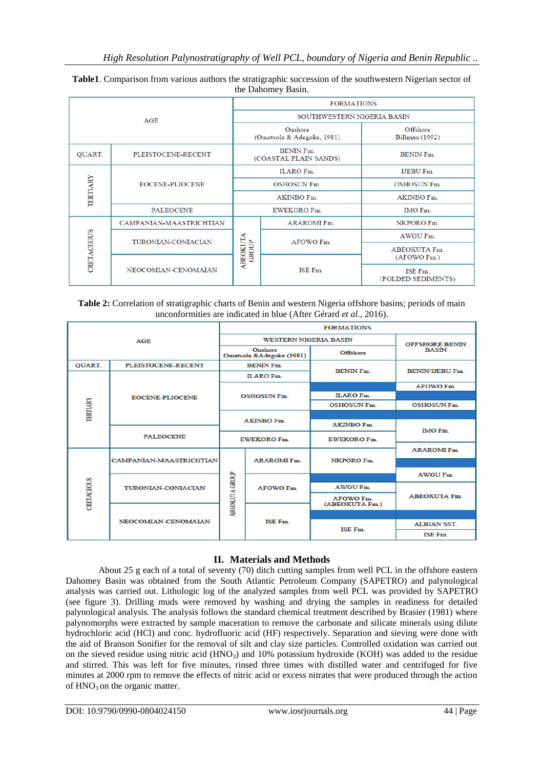| the Danomey Dasm. |                         |                            |                                           |                                   |  |  |  |
|-------------------|-------------------------|----------------------------|-------------------------------------------|-----------------------------------|--|--|--|
| AGE               |                         | <b>FORMATIONS</b>          |                                           |                                   |  |  |  |
|                   |                         | SOUTHWESTERN NIGERIA BASIN |                                           |                                   |  |  |  |
|                   |                         |                            | Onshore<br>(Omatsola & Adegoke, 1981)     | Offshore<br><b>Billman</b> (1992) |  |  |  |
| QUART.            | PLEISTOCENE-RECENT      |                            | <b>BENIN Fm.</b><br>(COASTAL PLAIN SANDS) | <b>BENIN Fm.</b>                  |  |  |  |
|                   |                         |                            | <b>ILARO Fm.</b>                          | <b>IJEBU Fm.</b>                  |  |  |  |
| TERTIARY          | EOCENE-PLIOCENE         |                            | <b>OSHOSUN Fm.</b>                        | <b>OSHOSUN Fm.</b>                |  |  |  |
|                   |                         |                            | <b>AKINBO Fm.</b>                         | AKINBO Fm.                        |  |  |  |
|                   | <b>PALEOCENE</b>        |                            | EWEKORO Fm.                               | IMO Fm.                           |  |  |  |
|                   | CAMPANIAN-MAASTRICHTIAN | ABEOKUTA<br><b>GROUP</b>   | <b>ARAROMI Fm.</b>                        | NKPORO Fm.                        |  |  |  |
|                   | TURONIAN-CONIACIAN      |                            | AFOWO Fm.                                 | AWGU Fm.                          |  |  |  |
| CRETACEOUS        |                         |                            |                                           | ABEOKUTA Fm.                      |  |  |  |
|                   |                         |                            |                                           | (AFOWO Fm.)                       |  |  |  |
|                   | NEOCOMIAN-CENOMAIAN     |                            | ISE Fm.                                   | ISE Fm.<br>(FOLDED SEDIMENTS)     |  |  |  |

|  |                    | Table1. Comparison from various authors the stratigraphic succession of the southwestern Nigerian sector of |  |
|--|--------------------|-------------------------------------------------------------------------------------------------------------|--|
|  | the Dahomey Basin. |                                                                                                             |  |

### **Table 2:** Correlation of stratigraphic charts of Benin and western Nigeria offshore basins; periods of main unconformities are indicated in blue (After Gérard *et al*., 2016).

| AGE               |                           | <b>FORMATIONS</b>                   |                              |                                       |                        |                 |  |
|-------------------|---------------------------|-------------------------------------|------------------------------|---------------------------------------|------------------------|-----------------|--|
|                   |                           |                                     | <b>WESTERN NIGERIA BASIN</b> | <b>OFFSHORE BENIN</b><br><b>BASIN</b> |                        |                 |  |
|                   |                           | Onshore<br>Omatsola &Adegoke (1981) |                              |                                       |                        | <b>Offshore</b> |  |
| <b>QUART.</b>     | PLEISTOCENE-RECENT        | <b>BENIN Fm.</b>                    |                              | <b>BENIN Fm.</b>                      | <b>BENIN/IJEBU Fm.</b> |                 |  |
|                   |                           | <b>ILARO Fm.</b>                    |                              |                                       |                        |                 |  |
|                   |                           | <b>OSHOSUN Fm.</b>                  |                              |                                       | <b>AFOWO Fm.</b>       |                 |  |
| <b>TERTIARY</b>   | <b>EOCENE-PLIOCENE</b>    |                                     |                              | <b>ILARO Fm.</b>                      |                        |                 |  |
|                   |                           |                                     |                              | <b>OSHOSUN Fm.</b>                    | <b>OSHOSUN Fm.</b>     |                 |  |
|                   |                           | <b>AKINBO Fm.</b>                   |                              |                                       |                        |                 |  |
|                   |                           |                                     |                              | <b>AKINBO Fm.</b>                     | <b>IMO Fm.</b>         |                 |  |
|                   | <b>PALEOCENE</b>          | <b>EWEKORO Fm.</b>                  |                              | <b>EWEKORO Fm.</b>                    |                        |                 |  |
|                   |                           |                                     | <b>ARAROMI Fm.</b>           |                                       | <b>ARAROMI Fm.</b>     |                 |  |
|                   | CAMPANIAN-MAASTRICHTIAN   |                                     |                              | NKPORO Fm.                            |                        |                 |  |
|                   |                           |                                     |                              |                                       | <b>AWGU Fm.</b>        |                 |  |
|                   | <b>TURONIAN-CONIACIAN</b> |                                     | <b>AFOWO Fm.</b>             | <b>AWGU Fm.</b>                       | <b>ABEOKUTA Fm.</b>    |                 |  |
| <b>CRETACEOUS</b> |                           | ABBOKUTA GROUP                      |                              | <b>AFOWO Fm.</b><br>(ABEOKUTA Fm.)    |                        |                 |  |
|                   |                           |                                     |                              |                                       |                        |                 |  |
|                   | NEOCOMIAN-CENOMAIAN       |                                     | <b>ISE Fm</b>                |                                       | <b>ALBIAN SST.</b>     |                 |  |
|                   |                           |                                     |                              | <b>ISE Fm.</b>                        |                        |                 |  |
|                   |                           |                                     |                              |                                       | ISE Fm.                |                 |  |

### **II. Materials and Methods**

About 25 g each of a total of seventy (70) ditch cutting samples from well PCL in the offshore eastern Dahomey Basin was obtained from the South Atlantic Petroleum Company (SAPETRO) and palynological analysis was carried out. Lithologic log of the analyzed samples from well PCL was provided by SAPETRO (see figure 3). Drilling muds were removed by washing and drying the samples in readiness for detailed palynological analysis. The analysis follows the standard chemical treatment described by Brasier (1981) where palynomorphs were extracted by sample maceration to remove the carbonate and silicate minerals using dilute hydrochloric acid (HCl) and conc. hydrofluoric acid (HF) respectively. Separation and sieving were done with the aid of Branson Sonifier for the removal of silt and clay size particles. Controlled oxidation was carried out on the sieved residue using nitric acid ( $HNO<sub>3</sub>$ ) and 10% potassium hydroxide (KOH) was added to the residue and stirred. This was left for five minutes, rinsed three times with distilled water and centrifuged for five minutes at 2000 rpm to remove the effects of nitric acid or excess nitrates that were produced through the action of HNO<sub>3</sub> on the organic matter.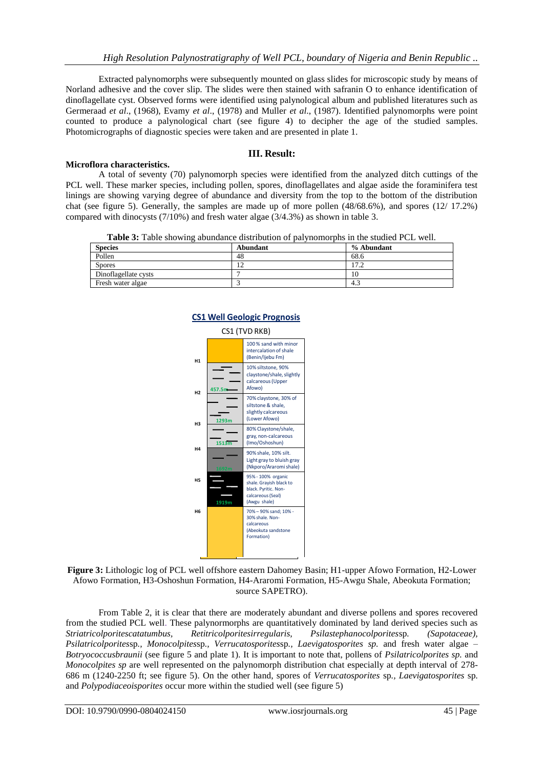Extracted palynomorphs were subsequently mounted on glass slides for microscopic study by means of Norland adhesive and the cover slip. The slides were then stained with safranin O to enhance identification of dinoflagellate cyst. Observed forms were identified using palynological album and published literatures such as Germeraad *et al*., (1968), Evamy *et al*., (1978) and Muller *et al*., (1987). Identified palynomorphs were point counted to produce a palynological chart (see figure 4) to decipher the age of the studied samples. Photomicrographs of diagnostic species were taken and are presented in plate 1.

### **III. Result:**

### **Microflora characteristics.**

A total of seventy (70) palynomorph species were identified from the analyzed ditch cuttings of the PCL well. These marker species, including pollen, spores, dinoflagellates and algae aside the foraminifera test linings are showing varying degree of abundance and diversity from the top to the bottom of the distribution chat (see figure 5). Generally, the samples are made up of more pollen (48/68.6%), and spores (12/ 17.2%) compared with dinocysts (7/10%) and fresh water algae (3/4.3%) as shown in table 3.

**Table 3:** Table showing abundance distribution of palynomorphs in the studied PCL well.

| <b>Species</b>       | Abundant | % Abundant |
|----------------------|----------|------------|
| Pollen               | 48       | 68.6       |
| <b>Spores</b>        |          | 17.2       |
| Dinoflagellate cysts |          | 10         |
| Fresh water algae    |          | 4.3        |



## **CS1 Well Geologic Prognosis CS1 Well Geologic Prognosis**

**Figure 3:** Lithologic log of PCL well offshore eastern Dahomey Basin; H1-upper Afowo Formation, H2-Lower Afowo Formation, H3-Oshoshun Formation, H4-Araromi Formation, H5-Awgu Shale, Abeokuta Formation; source SAPETRO).

DOI: 10.9790-0990-0804024150 www.iosrjournals.org 42 | Page 100 % sand with minor and property and property and the same of the same of the same of the same of the same of the same of the same of the same of the same of t From Table 2, it is clear that there are moderately abundant and diverse pollens and spores recovered from the studied PCL well. These palynormorphs are quantitatively dominated by land derived species such as *Striatricolporitescatatumbus, Retitricolporitesirregularis, Psilastephanocolporites*sp*. (Sapotaceae), Psilatricolporites*sp*., Monocolpites*sp*., Verrucatosporites*sp*., Laevigatosporites sp.* and fresh water algae – *Botryococcusbraunii* (see figure 5 and plate 1). It is important to note that, pollens of *Psilatricolporites sp.* and *Monocolpites sp* are well represented on the palynomorph distribution chat especially at depth interval of 278- 686 m (1240-2250 ft; see figure 5). On the other hand, spores of *Verrucatosporites* sp*., Laevigatosporites* sp*.*  and *Polypodiaceoisporites* occur more within the studied well (see figure 5)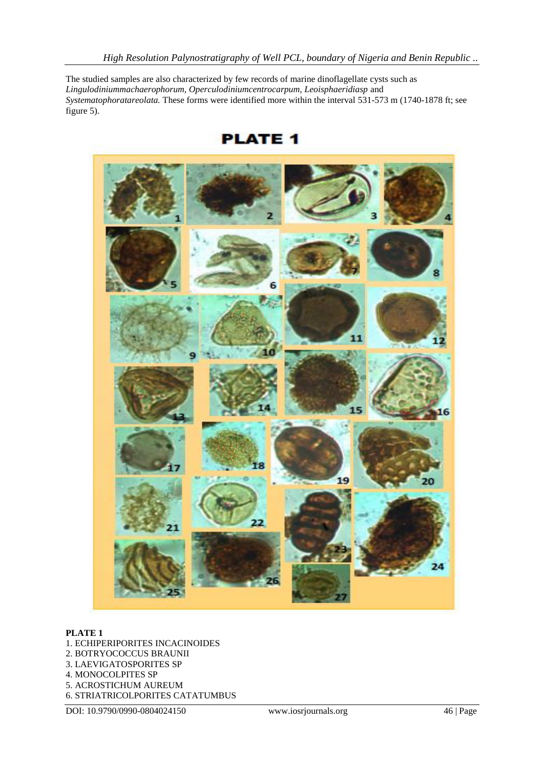The studied samples are also characterized by few records of marine dinoflagellate cysts such as *Lingulodiniummachaerophorum, Operculodiniumcentrocarpum, Leoisphaeridiasp* and *Systematophoratareolata.* These forms were identified more within the interval 531-573 m (1740-1878 ft; see figure 5).



**PLATE 1** 

### **PLATE 1**

- 1. ECHIPERIPORITES INCACINOIDES
- 2. BOTRYOCOCCUS BRAUNII
- 3. LAEVIGATOSPORITES SP
- 4. MONOCOLPITES SP
- 5. ACROSTICHUM AUREUM
- 6. STRIATRICOLPORITES CATATUMBUS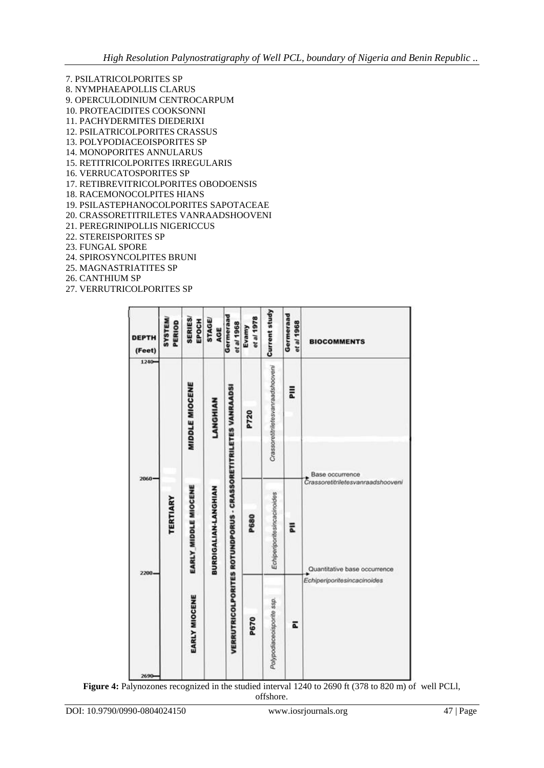- 7. PSILATRICOLPORITES SP 8. NYMPHAEAPOLLIS CLARUS 9. OPERCULODINIUM CENTROCARPUM 10. PROTEACIDITES COOKSONNI 11. PACHYDERMITES DIEDERIXI 12. PSILATRICOLPORITES CRASSUS 13. POLYPODIACEOISPORITES SP 14. MONOPORITES ANNULARUS 15. RETITRICOLPORITES IRREGULARIS 16. VERRUCATOSPORITES SP 17. RETIBREVITRICOLPORITES OBODOENSIS 18. RACEMONOCOLPITES HIANS 19. PSILASTEPHANOCOLPORITES SAPOTACEAE 20. CRASSORETITRILETES VANRAADSHOOVENI
- 21. PEREGRINIPOLLIS NIGERICCUS
- 22. STEREISPORITES SP
- 23. FUNGAL SPORE
- 24. SPIROSYNCOLPITES BRUNI
- 25. MAGNASTRIATITES SP
- 26. CANTHIUM SP
- 27. VERRUTRICOLPORITES SP

| <b>DEPTH</b><br>(Feet) | <b>SYSTEM</b><br>PERIOD | <b>SERIES/</b><br>EPOCH | <b>STAGE/</b><br>AGE | Germeraad<br>et al 1968                                              | et al 1978<br>Evamy | <b>Current study</b>              | Germeraad<br>et al 1968 | <b>BIOCOMMENTS</b>                                                                                                  |
|------------------------|-------------------------|-------------------------|----------------------|----------------------------------------------------------------------|---------------------|-----------------------------------|-------------------------|---------------------------------------------------------------------------------------------------------------------|
| 1240-                  |                         | <b>MIDDLE MIOCENE</b>   | LANGHIAN             |                                                                      | P720                | Crassoretitriletesvanraadshooveni | 릁                       |                                                                                                                     |
| 2060<br>2200           | <b><i>TERTIARY</i></b>  | EARLY MIDDLE MIOCENE    | BURDIGALIAN-LANGHIAN | <b>VERRUTRICOLPORITES ROTUNDPORUS - CRASSORETITRILETES VANRAADSI</b> | P680                | Echiperiporitesincacinoides       | 둢                       | Base occurrence<br>Crassoretitriletesvanraadshooveni<br>Quantitative base occurrence<br>Echiperiporitesincacinoides |
| 2690                   |                         | EARLY MIOCENE           |                      |                                                                      | P670                | Polypodiaceoisporite ssp.         | ā                       |                                                                                                                     |

**Figure 4:** Palynozones recognized in the studied interval 1240 to 2690 ft (378 to 820 m) of well PCLl,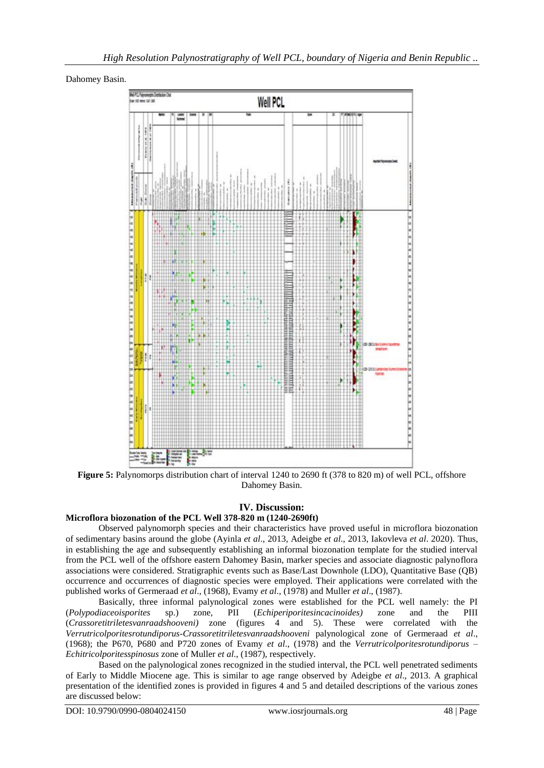Dahomey Basin.



**Figure 5:** Palynomorps distribution chart of interval 1240 to 2690 ft (378 to 820 m) of well PCL, offshore Dahomey Basin.

### **IV. Discussion:**

### **Microflora biozonation of the PCL Well 378-820 m (1240-2690ft)**

Observed palynomorph species and their characteristics have proved useful in microflora biozonation of sedimentary basins around the globe (Ayinla *et al*., 2013, Adeigbe *et al*., 2013, Iakovleva *et al*. 2020). Thus, in establishing the age and subsequently establishing an informal biozonation template for the studied interval from the PCL well of the offshore eastern Dahomey Basin, marker species and associate diagnostic palynoflora associations were considered. Stratigraphic events such as Base/Last Downhole (LDO), Quantitative Base (QB) occurrence and occurrences of diagnostic species were employed. Their applications were correlated with the published works of Germeraad *et al*., (1968), Evamy *et al*., (1978) and Muller *et al*., (1987).

Basically, three informal palynological zones were established for the PCL well namely: the PI (*Polypodiaceoisporites* sp.) zone, PII (*Echiperiporitesincacinoides)* zone and the PIII (*Crassoretitriletesvanraadshooveni)* zone (figures 4 and 5). These were correlated with the *Verrutricolporitesrotundiporus-Crassoretitriletesvanraadshooveni* palynological zone of Germeraad *et al*., (1968); the P670, P680 and P720 zones of Evamy *et al*., (1978) and the *Verrutricolporitesrotundiporus – Echitricolporitesspinosus* zone of Muller *et al*., (1987), respectively.

Based on the palynological zones recognized in the studied interval, the PCL well penetrated sediments of Early to Middle Miocene age. This is similar to age range observed by Adeigbe *et al*., 2013. A graphical presentation of the identified zones is provided in figures 4 and 5 and detailed descriptions of the various zones are discussed below: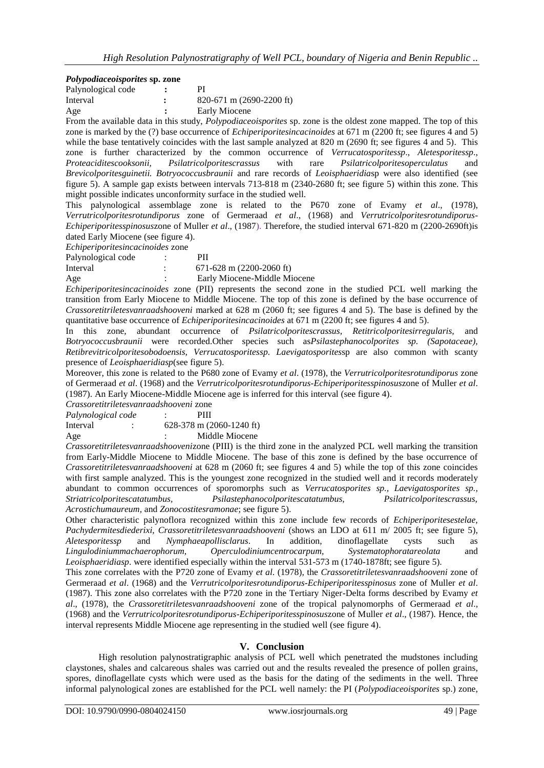### *Polypodiaceoisporites* **sp. zone**

| Palynological code | РI                            |
|--------------------|-------------------------------|
| Interval           | $820-671$ m $(2690-2200)$ ft) |
| Age                | Early Miocene                 |
|                    |                               |

From the available data in this study, *Polypodiaceoisporites* sp. zone is the oldest zone mapped. The top of this zone is marked by the (?) base occurrence of *Echiperiporitesincacinoides* at 671 m (2200 ft; see figures 4 and 5) while the base tentatively coincides with the last sample analyzed at 820 m (2690 ft; see figures 4 and 5). This zone is further characterized by the common occurrence of *Verrucatosporitessp*., *Aletesporitessp*., *Proteaciditescooksonii, Psilatricolporitescrassus* with rare *Psilatricolporitesoperculatus* and *Brevicolporitesguinetii. Botryococcusbraunii* and rare records of *Leoisphaeridia*sp were also identified (see figure 5). A sample gap exists between intervals 713-818 m (2340-2680 ft; see figure 5) within this zone. This might possible indicates unconformity surface in the studied well.

This palynological assemblage zone is related to the P670 zone of Evamy *et al*., (1978), *Verrutricolporitesrotundiporus* zone of Germeraad *et al*., (1968) and *Verrutricolporitesrotundiporus-Echiperiporitesspinosus*zone of Muller *et al*., (1987). Therefore, the studied interval 671-820 m (2200-2690ft)is dated Early Miocene (see figure 4).

*Echiperiporitesincacinoides* zone

| Palynological code | PП                   |  |
|--------------------|----------------------|--|
|                    | $\sim$ $\sim$ $\sim$ |  |

Interval: 671-628 m (2200-2060 ft) Age : Early Miocene-Middle Miocene

*Echiperiporitesincacinoides* zone (PII) represents the second zone in the studied PCL well marking the transition from Early Miocene to Middle Miocene. The top of this zone is defined by the base occurrence of *Crassoretitriletesvanraadshooveni* marked at 628 m (2060 ft; see figures 4 and 5). The base is defined by the quantitative base occurrence of *Echiperiporitesincacinoides* at 671 m (2200 ft; see figures 4 and 5).

In this zone, abundant occurrence of *Psilatricolporitescrassus, Retitricolporitesirregularis,* and *Botryococcusbraunii* were recorded.Other species such as*Psilastephanocolporites sp. (Sapotaceae), Retibrevitricolporitesobodoensis, Verrucatosporitessp. Laevigatosporites*sp are also common with scanty presence of *Leoisphaeridiasp*(see figure 5).

Moreover, this zone is related to the P680 zone of Evamy *et al*. (1978), the *Verrutricolporitesrotundiporus* zone of Germeraad *et al*. (1968) and the *Verrutricolporitesrotundiporus-Echiperiporitesspinosus*zone of Muller *et al*. (1987). An Early Miocene-Middle Miocene age is inferred for this interval (see figure 4).

*Crassoretitriletesvanraadshooveni* zone

*Palynological code* : PIII

Interval : 628-378 m (2060-1240 ft)

Age : Middle Miocene

*Crassoretitriletesvanraadshooveni*zone (PIII) is the third zone in the analyzed PCL well marking the transition from Early-Middle Miocene to Middle Miocene. The base of this zone is defined by the base occurrence of *Crassoretitriletesvanraadshooveni* at 628 m (2060 ft; see figures 4 and 5) while the top of this zone coincides with first sample analyzed. This is the youngest zone recognized in the studied well and it records moderately abundant to common occurrences of sporomorphs such as *Verrucatosporites sp., Laevigatosporites sp., Striatricolporitescatatumbus, Psilastephanocolporitescatatumbus, Psilatricolporitescrassus, Acrostichumaureum,* and *Zonocostitesramonae*; see figure 5).

Other characteristic palynoflora recognized within this zone include few records of *Echiperiporitesestelae, Pachydermitesdiederixi, Crassoretitriletesvanraadshooveni* (shows an LDO at 611 m/ 2005 ft; see figure 5), *Aletesporitessp* and *Nymphaeapollisclarus*. In addition, dinoflagellate cysts such as *Lingulodiniummachaerophorum, Operculodiniumcentrocarpum, Systematophoratareolata* and *Leoisphaeridiasp*. were identified especially within the interval 531-573 m (1740-1878ft; see figure 5).

This zone correlates with the P720 zone of Evamy *et al*. (1978), the *Crassoretitriletesvanraadshooveni* zone of Germeraad *et al*. (1968) and the *Verrutricolporitesrotundiporus-Echiperiporitesspinosus* zone of Muller *et al*. (1987). This zone also correlates with the P720 zone in the Tertiary Niger-Delta forms described by Evamy *et al*., (1978), the *Crassoretitriletesvanraadshooveni* zone of the tropical palynomorphs of Germeraad *et al*., (1968) and the *Verrutricolporitesrotundiporus-Echiperiporitesspinosus*zone of Muller *et al*., (1987). Hence, the interval represents Middle Miocene age representing in the studied well (see figure 4).

### **V. Conclusion**

High resolution palynostratigraphic analysis of PCL well which penetrated the mudstones including claystones, shales and calcareous shales was carried out and the results revealed the presence of pollen grains, spores, dinoflagellate cysts which were used as the basis for the dating of the sediments in the well. Three informal palynological zones are established for the PCL well namely: the PI (*Polypodiaceoisporites* sp.) zone,